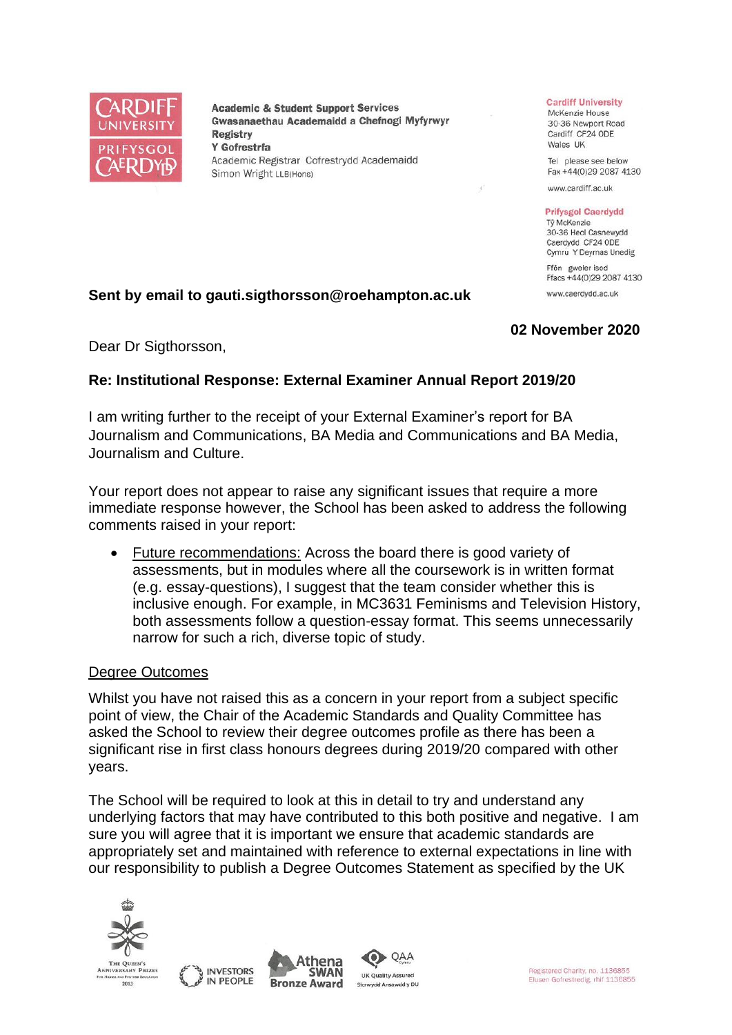

**Academic & Student Support Services** Gwasanaethau Academaidd a Chefnogi Myfyrwyr **Registry** Y Gofrestrfa Academic Registrar Cofrestrydd Academaidd Simon Wright LLB(Hons)

#### **Cardiff University**

McKenzie House 30-36 Newport Road Cardiff CF24 ODE Wales UK

Tel please see below Fax +44(0)29 2087 4130

www.cardiff.ac.uk

#### **Prifysgol Caerdydd** Tỷ McKenzie

30-36 Heol Casnewydd Caerdydd CF24 ODE Cymru Y Deyrnas Unedig Ffôn gweler isod

Ffacs +44(0)29 2087 4130 www.caerdydd.ac.uk

# **Sent by email to gauti.sigthorsson@roehampton.ac.uk**

## **02 November 2020**

Dear Dr Sigthorsson,

## **Re: Institutional Response: External Examiner Annual Report 2019/20**

I am writing further to the receipt of your External Examiner's report for BA Journalism and Communications, BA Media and Communications and BA Media, Journalism and Culture.

Your report does not appear to raise any significant issues that require a more immediate response however, the School has been asked to address the following comments raised in your report:

• Future recommendations: Across the board there is good variety of assessments, but in modules where all the coursework is in written format (e.g. essay-questions), I suggest that the team consider whether this is inclusive enough. For example, in MC3631 Feminisms and Television History, both assessments follow a question-essay format. This seems unnecessarily narrow for such a rich, diverse topic of study.

#### Degree Outcomes

Whilst you have not raised this as a concern in your report from a subject specific point of view, the Chair of the Academic Standards and Quality Committee has asked the School to review their degree outcomes profile as there has been a significant rise in first class honours degrees during 2019/20 compared with other years.

The School will be required to look at this in detail to try and understand any underlying factors that may have contributed to this both positive and negative. I am sure you will agree that it is important we ensure that academic standards are appropriately set and maintained with reference to external expectations in line with our responsibility to publish a Degree Outcomes Statement as specified by the UK